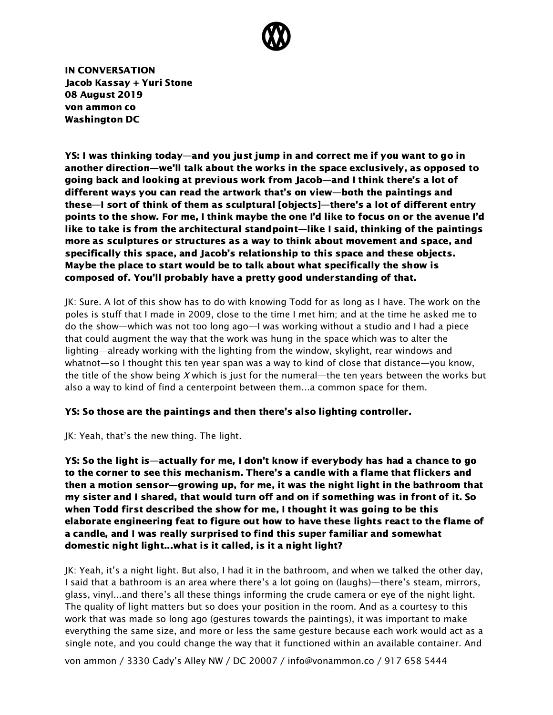

IN CONVERSATION Jacob Kassay + Yuri Stone 08 August 2019 von ammon co Washington DC

YS: I was thinking today—and you just jump in and correct me if you want to go in another direction—we'll talk about the works in the space exclusively, as opposed to going back and looking at previous work from Jacob—and I think there's a lot of different ways you can read the artwork that's on view—both the paintings and these—I sort of think of them as sculptural [objects]—there's a lot of different entry points to the show. For me, I think maybe the one I'd like to focus on or the avenue I'd like to take is from the architectural standpoint—like I said, thinking of the paintings more as sculptures or structures as a way to think about movement and space, and specifically this space, and Jacob's relationship to this space and these objects. Maybe the place to start would be to talk about what specifically the show is composed of. You'll probably have a pretty good understanding of that.

JK: Sure. A lot of this show has to do with knowing Todd for as long as I have. The work on the poles is stuff that I made in 2009, close to the time I met him; and at the time he asked me to do the show—which was not too long ago—I was working without a studio and I had a piece that could augment the way that the work was hung in the space which was to alter the lighting—already working with the lighting from the window, skylight, rear windows and whatnot—so I thought this ten year span was a way to kind of close that distance—you know, the title of the show being X which is just for the numeral—the ten years between the works but also a way to kind of find a centerpoint between them...a common space for them.

### YS: So those are the paintings and then there's also lighting controller.

JK: Yeah, that's the new thing. The light.

YS: So the light is—actually for me, I don't know if everybody has had a chance to go to the corner to see this mechanism. There's a candle with a flame that flickers and then a motion sensor—growing up, for me, it was the night light in the bathroom that my sister and I shared, that would turn off and on if something was in front of it. So when Todd first described the show for me, I thought it was going to be this elaborate engineering feat to figure out how to have these lights react to the flame of a candle, and I was really surprised to find this super familiar and somewhat domestic night light...what is it called, is it a night light?

JK: Yeah, it's a night light. But also, I had it in the bathroom, and when we talked the other day, I said that a bathroom is an area where there's a lot going on (laughs)—there's steam, mirrors, glass, vinyl...and there's all these things informing the crude camera or eye of the night light. The quality of light matters but so does your position in the room. And as a courtesy to this work that was made so long ago (gestures towards the paintings), it was important to make everything the same size, and more or less the same gesture because each work would act as a single note, and you could change the way that it functioned within an available container. And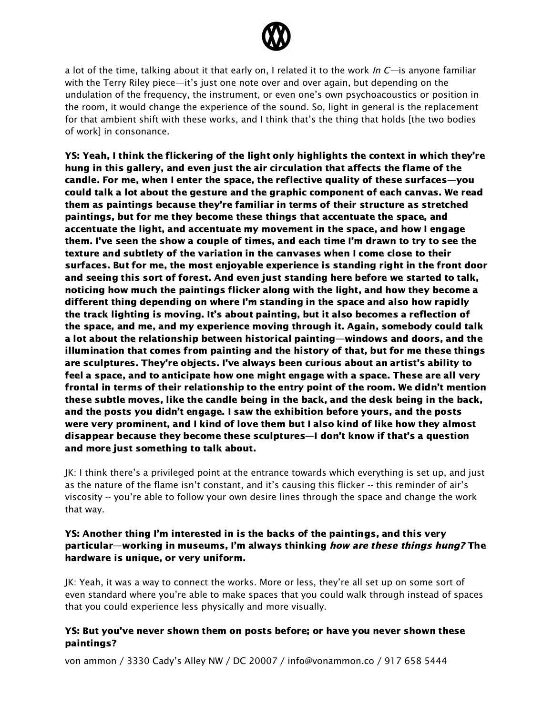

a lot of the time, talking about it that early on, I related it to the work In  $C$ —is anyone familiar with the Terry Riley piece—it's just one note over and over again, but depending on the undulation of the frequency, the instrument, or even one's own psychoacoustics or position in the room, it would change the experience of the sound. So, light in general is the replacement for that ambient shift with these works, and I think that's the thing that holds [the two bodies of work] in consonance.

YS: Yeah, I think the flickering of the light only highlights the context in which they're hung in this gallery, and even just the air circulation that affects the flame of the candle. For me, when I enter the space, the reflective quality of these surfaces—you could talk a lot about the gesture and the graphic component of each canvas. We read them as paintings because they're familiar in terms of their structure as stretched paintings, but for me they become these things that accentuate the space, and accentuate the light, and accentuate my movement in the space, and how I engage them. I've seen the show a couple of times, and each time I'm drawn to try to see the texture and subtlety of the variation in the canvases when I come close to their surfaces. But for me, the most enjoyable experience is standing right in the front door and seeing this sort of forest. And even just standing here before we started to talk, noticing how much the paintings flicker along with the light, and how they become a different thing depending on where I'm standing in the space and also how rapidly the track lighting is moving. It's about painting, but it also becomes a reflection of the space, and me, and my experience moving through it. Again, somebody could talk a lot about the relationship between historical painting—windows and doors, and the illumination that comes from painting and the history of that, but for me these things are sculptures. They're objects. I've always been curious about an artist's ability to feel a space, and to anticipate how one might engage with a space. These are all very frontal in terms of their relationship to the entry point of the room. We didn't mention these subtle moves, like the candle being in the back, and the desk being in the back, and the posts you didn't engage. I saw the exhibition before yours, and the posts were very prominent, and I kind of love them but I also kind of like how they almost disappear because they become these sculptures—I don't know if that's a question and more just something to talk about.

JK: I think there's a privileged point at the entrance towards which everything is set up, and just as the nature of the flame isn't constant, and it's causing this flicker -- this reminder of air's viscosity -- you're able to follow your own desire lines through the space and change the work that way.

# YS: Another thing I'm interested in is the backs of the paintings, and this very particular—working in museums, I'm always thinking how are these things hung? The hardware is unique, or very uniform.

JK: Yeah, it was a way to connect the works. More or less, they're all set up on some sort of even standard where you're able to make spaces that you could walk through instead of spaces that you could experience less physically and more visually.

# YS: But you've never shown them on posts before; or have you never shown these paintings?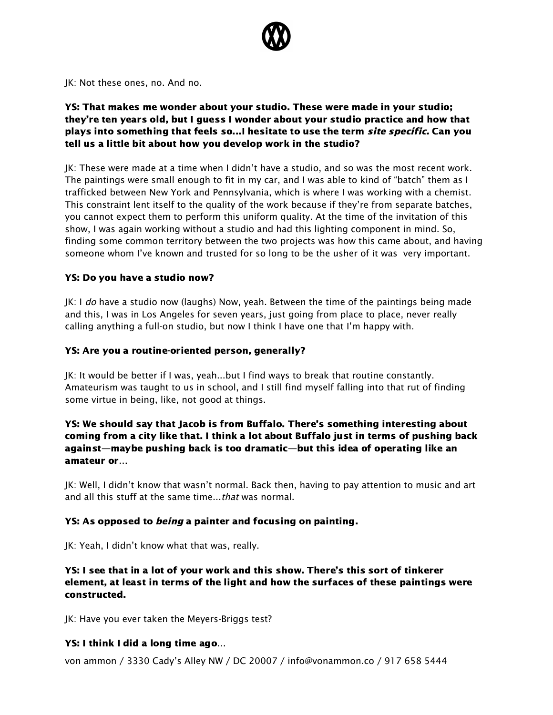

JK: Not these ones, no. And no.

# YS: That makes me wonder about your studio. These were made in your studio; they're ten years old, but I guess I wonder about your studio practice and how that plays into something that feels so...I hesitate to use the term site specific. Can you tell us a little bit about how you develop work in the studio?

JK: These were made at a time when I didn't have a studio, and so was the most recent work. The paintings were small enough to fit in my car, and I was able to kind of "batch" them as I trafficked between New York and Pennsylvania, which is where I was working with a chemist. This constraint lent itself to the quality of the work because if they're from separate batches, you cannot expect them to perform this uniform quality. At the time of the invitation of this show, I was again working without a studio and had this lighting component in mind. So, finding some common territory between the two projects was how this came about, and having someone whom I've known and trusted for so long to be the usher of it was very important.

# YS: Do you have a studio now?

JK: I do have a studio now (laughs) Now, yeah. Between the time of the paintings being made and this, I was in Los Angeles for seven years, just going from place to place, never really calling anything a full-on studio, but now I think I have one that I'm happy with.

### YS: Are you a routine-oriented person, generally?

JK: It would be better if I was, yeah...but I find ways to break that routine constantly. Amateurism was taught to us in school, and I still find myself falling into that rut of finding some virtue in being, like, not good at things.

# YS: We should say that Jacob is from Buffalo. There's something interesting about coming from a city like that. I think a lot about Buffalo just in terms of pushing back against—maybe pushing back is too dramatic—but this idea of operating like an amateur or…

JK: Well, I didn't know that wasn't normal. Back then, having to pay attention to music and art and all this stuff at the same time...that was normal.

### YS: As opposed to *being* a painter and focusing on painting.

JK: Yeah, I didn't know what that was, really.

YS: I see that in a lot of your work and this show. There's this sort of tinkerer element, at least in terms of the light and how the surfaces of these paintings were constructed.

JK: Have you ever taken the Meyers-Briggs test?

# YS: I think I did a long time ago…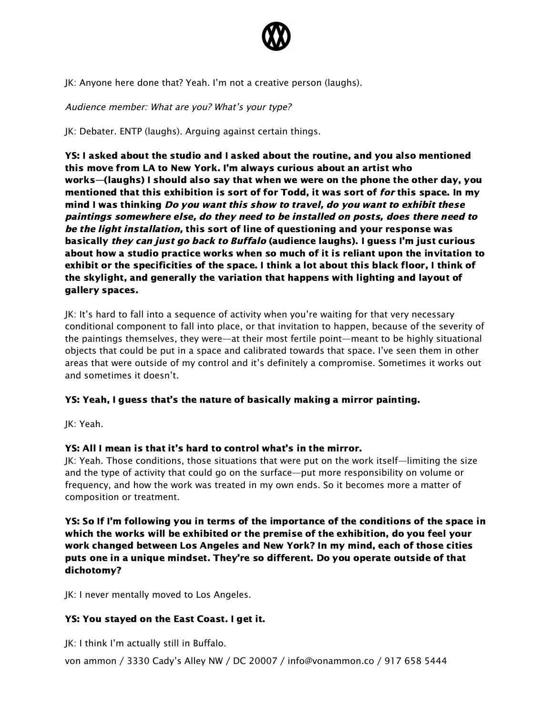

JK: Anyone here done that? Yeah. I'm not a creative person (laughs).

Audience member: What are you? What's your type?

JK: Debater. ENTP (laughs). Arguing against certain things.

YS: I asked about the studio and I asked about the routine, and you also mentioned this move from LA to New York. I'm always curious about an artist who works—(laughs) I should also say that when we were on the phone the other day, you mentioned that this exhibition is sort of for Todd, it was sort of *for* this space. In my mind I was thinking Do you want this show to travel, do you want to exhibit these paintings somewhere else, do they need to be installed on posts, does there need to be the light installation, this sort of line of questioning and your response was basically they can just go back to Buffalo (audience laughs). I guess I'm just curious about how a studio practice works when so much of it is reliant upon the invitation to exhibit or the specificities of the space. I think a lot about this black floor, I think of the skylight, and generally the variation that happens with lighting and layout of gallery spaces.

JK: It's hard to fall into a sequence of activity when you're waiting for that very necessary conditional component to fall into place, or that invitation to happen, because of the severity of the paintings themselves, they were—at their most fertile point—meant to be highly situational objects that could be put in a space and calibrated towards that space. I've seen them in other areas that were outside of my control and it's definitely a compromise. Sometimes it works out and sometimes it doesn't.

# YS: Yeah, I guess that's the nature of basically making a mirror painting.

JK: Yeah.

### YS: All I mean is that it's hard to control what's in the mirror.

JK: Yeah. Those conditions, those situations that were put on the work itself—limiting the size and the type of activity that could go on the surface—put more responsibility on volume or frequency, and how the work was treated in my own ends. So it becomes more a matter of composition or treatment.

YS: So If I'm following you in terms of the importance of the conditions of the space in which the works will be exhibited or the premise of the exhibition, do you feel your work changed between Los Angeles and New York? In my mind, each of those cities puts one in a unique mindset. They're so different. Do you operate outside of that dichotomy?

JK: I never mentally moved to Los Angeles.

# YS: You stayed on the East Coast. I get it.

JK: I think I'm actually still in Buffalo.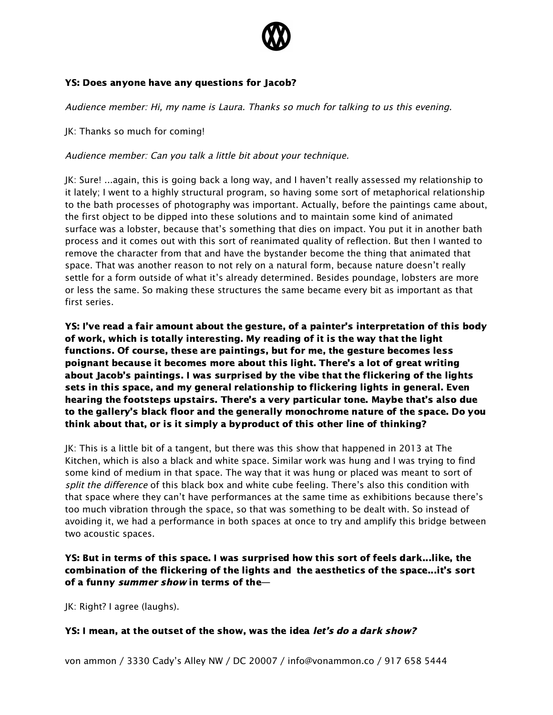

# YS: Does anyone have any questions for Jacob?

Audience member: Hi, my name is Laura. Thanks so much for talking to us this evening.

JK: Thanks so much for coming!

Audience member: Can you talk <sup>a</sup> little bit about your technique.

JK: Sure! ...again, this is going back a long way, and I haven't really assessed my relationship to it lately; I went to a highly structural program, so having some sort of metaphorical relationship to the bath processes of photography was important. Actually, before the paintings came about, the first object to be dipped into these solutions and to maintain some kind of animated surface was a lobster, because that's something that dies on impact. You put it in another bath process and it comes out with this sort of reanimated quality of reflection. But then I wanted to remove the character from that and have the bystander become the thing that animated that space. That was another reason to not rely on a natural form, because nature doesn't really settle for a form outside of what it's already determined. Besides poundage, lobsters are more or less the same. So making these structures the same became every bit as important as that first series.

YS: I've read a fair amount about the gesture, of a painter's interpretation of this body of work, which is totally interesting. My reading of it is the way that the light functions. Of course, these are paintings, but for me, the gesture becomes less poignant because it becomes more about this light. There's a lot of great writing about Jacob's paintings. I was surprised by the vibe that the flickering of the lights sets in this space, and my general relationship to flickering lights in general. Even hearing the footsteps upstairs. There's a very particular tone. Maybe that's also due to the gallery's black floor and the generally monochrome nature of the space. Do you think about that, or is it simply a byproduct of this other line of thinking?

JK: This is a little bit of a tangent, but there was this show that happened in 2013 at The Kitchen, which is also a black and white space. Similar work was hung and I was trying to find some kind of medium in that space. The way that it was hung or placed was meant to sort of split the difference of this black box and white cube feeling. There's also this condition with that space where they can't have performances at the same time as exhibitions because there's too much vibration through the space, so that was something to be dealt with. So instead of avoiding it, we had a performance in both spaces at once to try and amplify this bridge between two acoustic spaces.

# YS: But in terms of this space. I was surprised how this sort of feels dark...like, the combination of the flickering of the lights and the aesthetics of the space...it's sort of a funny summer show in terms of the—

JK: Right? I agree (laughs).

### YS: I mean, at the outset of the show, was the idea let's do a dark show?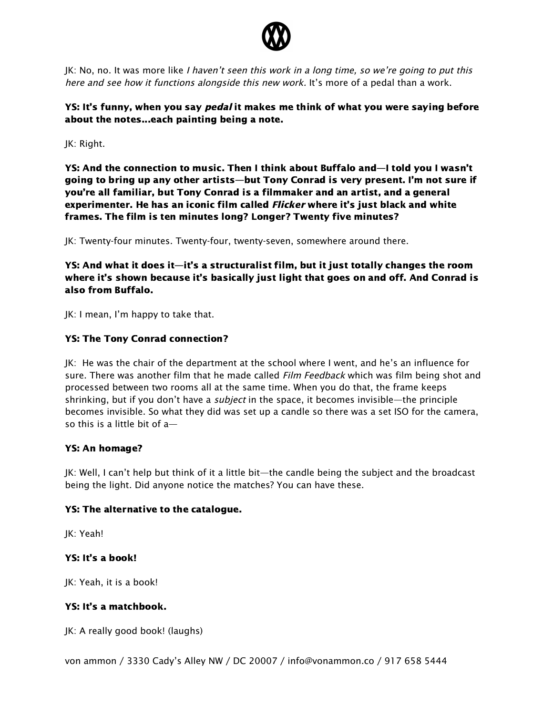

JK: No, no. It was more like I haven't seen this work in a long time, so we're going to put this here and see how it functions alongside this new work. It's more of a pedal than a work.

YS: It's funny, when you say *pedal* it makes me think of what you were saying before about the notes...each painting being a note.

JK: Right.

YS: And the connection to music. Then I think about Buffalo and—I told you I wasn't going to bring up any other artists—but Tony Conrad is very present. I'm not sure if you're all familiar, but Tony Conrad is a filmmaker and an artist, and a general experimenter. He has an iconic film called *Flicker* where it's just black and white frames. The film is ten minutes long? Longer? Twenty five minutes?

JK: Twenty-four minutes. Twenty-four, twenty-seven, somewhere around there.

YS: And what it does it—it's a structuralist film, but it just totally changes the room where it's shown because it's basically just light that goes on and off. And Conrad is also from Buffalo.

JK: I mean, I'm happy to take that.

# YS: The Tony Conrad connection?

JK: He was the chair of the department at the school where I went, and he's an influence for sure. There was another film that he made called *Film Feedback* which was film being shot and processed between two rooms all at the same time. When you do that, the frame keeps shrinking, but if you don't have a *subject* in the space, it becomes invisible—the principle becomes invisible. So what they did was set up a candle so there was a set ISO for the camera, so this is a little bit of a—

### YS: An homage?

JK: Well, I can't help but think of it a little bit—the candle being the subject and the broadcast being the light. Did anyone notice the matches? You can have these.

### YS: The alternative to the catalogue.

JK: Yeah!

### YS: It's a book!

JK: Yeah, it is a book!

### YS: It's a matchbook.

JK: A really good book! (laughs)